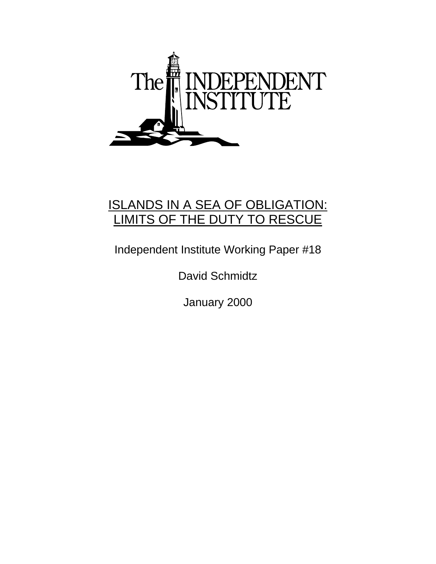

# ISLANDS IN A SEA OF OBLIGATION: LIMITS OF THE DUTY TO RESCUE

Independent Institute Working Paper #18

David Schmidtz

January 2000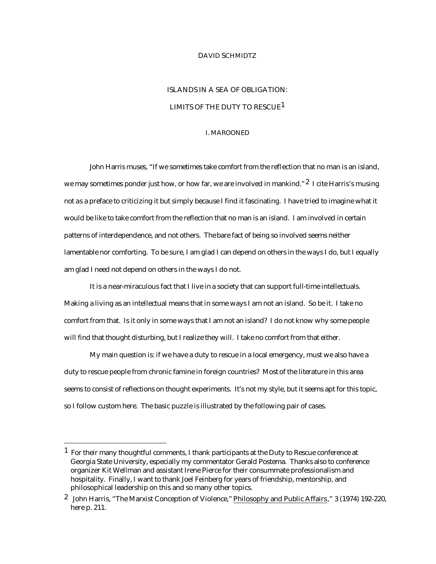#### DAVID SCHMIDTZ

# ISLANDS IN A SEA OF OBLIGATION: LIMITS OF THE DUTY TO RESCUE<sup>1</sup>

#### I. MAROONED

John Harris muses, "If we sometimes take comfort from the reflection that no man is an island, we may sometimes ponder just how, or how far, we are involved in mankind."  $2\,$  I cite Harris's musing not as a preface to criticizing it but simply because I find it fascinating. I have tried to imagine what it would be like to take comfort from the reflection that no man is an island. I am involved in certain patterns of interdependence, and not others. The bare fact of being so involved seems neither lamentable nor comforting. To be sure, I am glad I can depend on others in the ways I do, but I equally am glad I need not depend on others in the ways I do not.

It is a near-miraculous fact that I live in a society that can support full-time intellectuals. Making a living as an intellectual means that in some ways I am not an island. So be it. I take no comfort from that. Is it only in some ways that I am not an island? I do not know why some people will find that thought disturbing, but I realize they will. I take no comfort from that either.

My main question is: if we have a duty to rescue in a local emergency, must we also have a duty to rescue people from chronic famine in foreign countries? Most of the literature in this area seems to consist of reflections on thought experiments. It's not my style, but it seems apt for this topic, so I follow custom here. The basic puzzle is illustrated by the following pair of cases.

l

 $1$  For their many thoughtful comments, I thank participants at the Duty to Rescue conference at Georgia State University, especially my commentator Gerald Postema. Thanks also to conference organizer Kit Wellman and assistant Irene Pierce for their consummate professionalism and hospitality. Finally, I want to thank Joel Feinberg for years of friendship, mentorship, and philosophical leadership on this and so many other topics.

<sup>2</sup> John Harris, "The Marxist Conception of Violence," Philosophy and Public Affairs," 3 (1974) 192-220, here p. 211.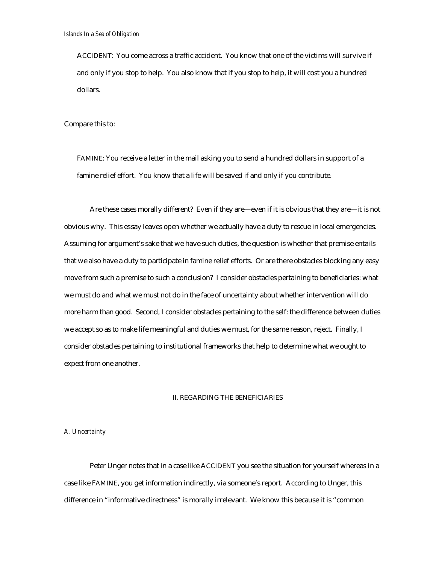ACCIDENT: You come across a traffic accident. You know that one of the victims will survive if and only if you stop to help. You also know that if you stop to help, it will cost you a hundred dollars.

Compare this to:

FAMINE: You receive a letter in the mail asking you to send a hundred dollars in support of a famine relief effort. You know that a life will be saved if and only if you contribute.

Are these cases morally different? Even if they are—even if it is obvious that they are—it is not obvious why. This essay leaves open whether we actually have a duty to rescue in local emergencies. Assuming for argument's sake that we have such duties, the question is whether that premise entails that we also have a duty to participate in famine relief efforts. Or are there obstacles blocking any easy move from such a premise to such a conclusion? I consider obstacles pertaining to beneficiaries: what we must do and what we must not do in the face of uncertainty about whether intervention will do more harm than good. Second, I consider obstacles pertaining to the self: the difference between duties we accept so as to make life meaningful and duties we must, for the same reason, reject. Finally, I consider obstacles pertaining to institutional frameworks that help to determine what we ought to expect from one another.

# II. REGARDING THE BENEFICIARIES

#### *A. Uncertainty*

Peter Unger notes that in a case like ACCIDENT you see the situation for yourself whereas in a case like FAMINE, you get information indirectly, via someone's report. According to Unger, this difference in "informative directness" is morally irrelevant. We know this because it is "common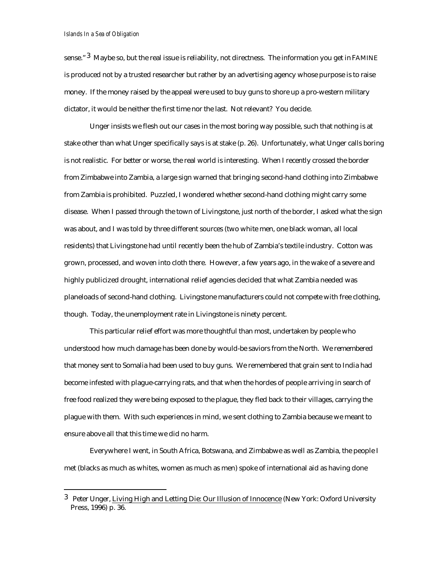sense." $3$  Maybe so, but the real issue is reliability, not directness. The information you get in FAMINE is produced not by a trusted researcher but rather by an advertising agency whose purpose is to raise money. If the money raised by the appeal were used to buy guns to shore up a pro-western military dictator, it would be neither the first time nor the last. Not relevant? You decide.

Unger insists we flesh out our cases in the most boring way possible, such that nothing is at stake other than what Unger specifically says is at stake (p. 26). Unfortunately, what Unger calls boring is not realistic. For better or worse, the real world is interesting. When I recently crossed the border from Zimbabwe into Zambia, a large sign warned that bringing second-hand clothing into Zimbabwe from Zambia is prohibited. Puzzled, I wondered whether second-hand clothing might carry some disease. When I passed through the town of Livingstone, just north of the border, I asked what the sign was about, and I was told by three different sources (two white men, one black woman, all local residents) that Livingstone had until recently been the hub of Zambia's textile industry. Cotton was grown, processed, and woven into cloth there. However, a few years ago, in the wake of a severe and highly publicized drought, international relief agencies decided that what Zambia needed was planeloads of second-hand clothing. Livingstone manufacturers could not compete with free clothing, though. Today, the unemployment rate in Livingstone is ninety percent.

This particular relief effort was more thoughtful than most, undertaken by people who understood how much damage has been done by would-be saviors from the North. We remembered that money sent to Somalia had been used to buy guns. We remembered that grain sent to India had become infested with plague-carrying rats, and that when the hordes of people arriving in search of free food realized they were being exposed to the plague, they fled back to their villages, carrying the plague with them. With such experiences in mind, we sent clothing to Zambia because we meant to ensure above all that this time we did no harm.

Everywhere I went, in South Africa, Botswana, and Zimbabwe as well as Zambia, the people I met (blacks as much as whites, women as much as men) spoke of international aid as having done

<sup>3</sup> Peter Unger, Living High and Letting Die: Our Illusion of Innocence (New York: Oxford University Press, 1996) p. 36.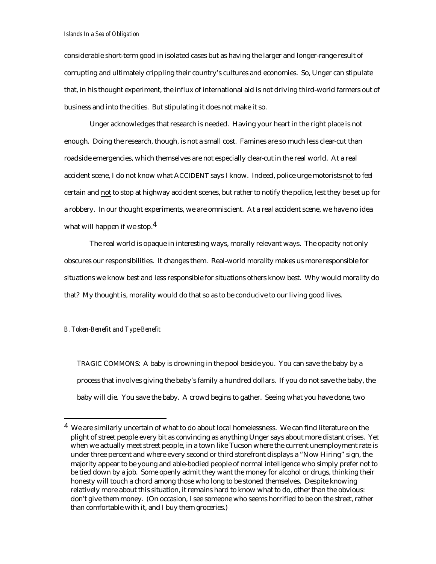considerable short-term good in isolated cases but as having the larger and longer-range result of corrupting and ultimately crippling their country's cultures and economies. So, Unger can stipulate that, in his thought experiment, the influx of international aid is not driving third-world farmers out of business and into the cities. But stipulating it does not make it so.

Unger acknowledges that research is needed. Having your heart in the right place is not enough. Doing the research, though, is not a small cost. Famines are so much less clear-cut than roadside emergencies, which themselves are not especially clear-cut in the real world. At a real accident scene, I do not know what ACCIDENT says I know. Indeed, police urge motorists not to feel certain and not to stop at highway accident scenes, but rather to notify the police, lest they be set up for a robbery. In our thought experiments, we are omniscient. At a real accident scene, we have no idea what will happen if we stop.<sup>4</sup>

The real world is opaque in interesting ways, morally relevant ways. The opacity not only obscures our responsibilities. It changes them. Real-world morality makes us more responsible for situations we know best and less responsible for situations others know best. Why would morality do that? My thought is, morality would do that so as to be conducive to our living good lives.

# *B. Token-Benefit and Type-Benefit*

l

TRAGIC COMMONS: A baby is drowning in the pool beside you. You can save the baby by a process that involves giving the baby's family a hundred dollars. If you do not save the baby, the baby will die. You save the baby. A crowd begins to gather. Seeing what you have done, two

 $4\,$  We are similarly uncertain of what to do about local homelessness. We can find literature on the plight of street people every bit as convincing as anything Unger says about more distant crises. Yet when we actually meet street people, in a town like Tucson where the current unemployment rate is under three percent and where every second or third storefront displays a "Now Hiring" sign, the majority appear to be young and able-bodied people of normal intelligence who simply prefer not to be tied down by a job. Some openly admit they want the money for alcohol or drugs, thinking their honesty will touch a chord among those who long to be stoned themselves. Despite knowing relatively more about this situation, it remains hard to know what to do, other than the obvious: don't give them money. (On occasion, I see someone who seems horrified to be on the street, rather than comfortable with it, and I buy them groceries.)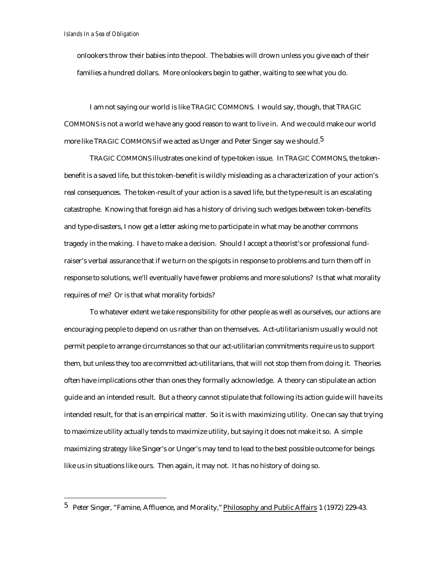onlookers throw their babies into the pool. The babies will drown unless you give each of their families a hundred dollars. More onlookers begin to gather, waiting to see what you do.

I am not saying our world is like TRAGIC COMMONS. I would say, though, that TRAGIC COMMONS is not a world we have any good reason to want to live in. And we could make our world more like TRAGIC COMMONS if we acted as Unger and Peter Singer say we should.<sup>5</sup>

TRAGIC COMMONS illustrates one kind of type-token issue. In TRAGIC COMMONS, the tokenbenefit is a saved life, but this token-benefit is wildly misleading as a characterization of your action's real consequences. The token-result of your action is a saved life, but the type-result is an escalating catastrophe. Knowing that foreign aid has a history of driving such wedges between token-benefits and type-disasters, I now get a letter asking me to participate in what may be another commons tragedy in the making. I have to make a decision. Should I accept a theorist's or professional fundraiser's verbal assurance that if we turn on the spigots in response to problems and turn them off in response to solutions, we'll eventually have fewer problems and more solutions? Is that what morality requires of me? Or is that what morality forbids?

To whatever extent we take responsibility for other people as well as ourselves, our actions are encouraging people to depend on us rather than on themselves. Act-utilitarianism usually would not permit people to arrange circumstances so that our act-utilitarian commitments require us to support them, but unless they too are committed act-utilitarians, that will not stop them from doing it. Theories often have implications other than ones they formally acknowledge. A theory can stipulate an action guide and an intended result. But a theory cannot stipulate that following its action guide will have its intended result, for that is an empirical matter. So it is with maximizing utility. One can say that trying to maximize utility actually tends to maximize utility, but saying it does not make it so. A simple maximizing strategy like Singer's or Unger's may tend to lead to the best possible outcome for beings like us in situations like ours. Then again, it may not. It has no history of doing so.

<sup>5</sup> Peter Singer, "Famine, Affluence, and Morality," Philosophy and Public Affairs 1 (1972) 229-43.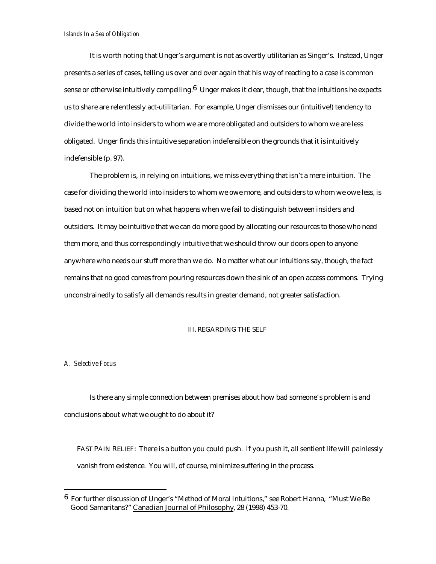It is worth noting that Unger's argument is not as overtly utilitarian as Singer's. Instead, Unger presents a series of cases, telling us over and over again that his way of reacting to a case is common sense or otherwise intuitively compelling.  $6 \text{ Unger makes it clear, though, that the intuitions he expects}$ us to share are relentlessly act-utilitarian. For example, Unger dismisses our (intuitive!) tendency to divide the world into insiders to whom we are more obligated and outsiders to whom we are less obligated. Unger finds this intuitive separation indefensible on the grounds that it is intuitively indefensible (p. 97).

The problem is, in relying on intuitions, we miss everything that isn't a mere intuition. The case for dividing the world into insiders to whom we owe more, and outsiders to whom we owe less, is based not on intuition but on what happens when we fail to distinguish between insiders and outsiders. It may be intuitive that we can do more good by allocating our resources to those who need them more, and thus correspondingly intuitive that we should throw our doors open to anyone anywhere who needs our stuff more than we do. No matter what our intuitions say, though, the fact remains that no good comes from pouring resources down the sink of an open access commons. Trying unconstrainedly to satisfy all demands results in greater demand, not greater satisfaction.

## III. REGARDING THE SELF

### *A. Selective Focus*

l

Is there any simple connection between premises about how bad someone's problem is and conclusions about what we ought to do about it?

FAST PAIN RELIEF: There is a button you could push. If you push it, all sentient life will painlessly vanish from existence. You will, of course, minimize suffering in the process.

 $6$  For further discussion of Unger's "Method of Moral Intuitions," see Robert Hanna, "Must We Be Good Samaritans?" Canadian Journal of Philosophy, 28 (1998) 453-70.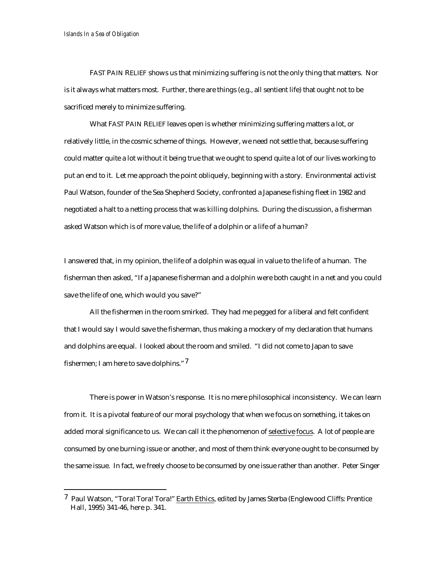FAST PAIN RELIEF shows us that minimizing suffering is not the only thing that matters. Nor is it always what matters most. Further, there are things (e.g., all sentient life) that ought not to be sacrificed merely to minimize suffering.

What FAST PAIN RELIEF leaves open is whether minimizing suffering matters a lot, or relatively little, in the cosmic scheme of things. However, we need not settle that, because suffering could matter quite a lot without it being true that we ought to spend quite a lot of our lives working to put an end to it. Let me approach the point obliquely, beginning with a story. Environmental activist Paul Watson, founder of the Sea Shepherd Society, confronted a Japanese fishing fleet in 1982 and negotiated a halt to a netting process that was killing dolphins. During the discussion, a fisherman asked Watson which is of more value, the life of a dolphin or a life of a human?

I answered that, in my opinion, the life of a dolphin was equal in value to the life of a human. The fisherman then asked, "If a Japanese fisherman and a dolphin were both caught in a net and you could save the life of one, which would you save?"

All the fishermen in the room smirked. They had me pegged for a liberal and felt confident that I would say I would save the fisherman, thus making a mockery of my declaration that humans and dolphins are equal. I looked about the room and smiled. "I did not come to Japan to save fishermen; I am here to save dolphins."<sup>7</sup>

There is power in Watson's response. It is no mere philosophical inconsistency. We can learn from it. It is a pivotal feature of our moral psychology that when we focus on something, it takes on added moral significance to us. We can call it the phenomenon of selective focus. A lot of people are consumed by one burning issue or another, and most of them think everyone ought to be consumed by the same issue. In fact, we freely choose to be consumed by one issue rather than another. Peter Singer

<sup>7</sup> Paul Watson, "Tora! Tora! Tora!" Earth Ethics, edited by James Sterba (Englewood Cliffs: Prentice Hall, 1995) 341-46, here p. 341.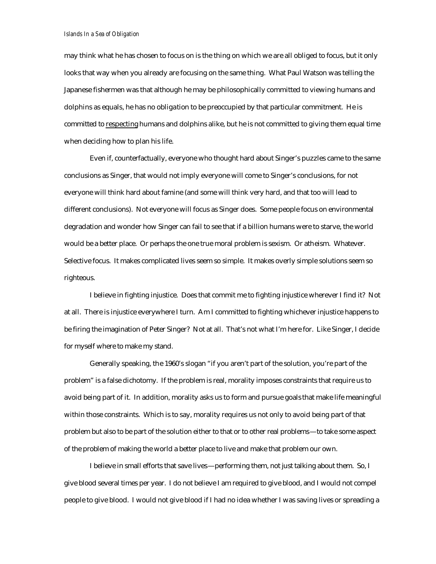may think what he has chosen to focus on is the thing on which we are all obliged to focus, but it only looks that way when you already are focusing on the same thing. What Paul Watson was telling the Japanese fishermen was that although he may be philosophically committed to viewing humans and dolphins as equals, he has no obligation to be preoccupied by that particular commitment. He is committed to respecting humans and dolphins alike, but he is not committed to giving them equal time when deciding how to plan his life.

Even if, counterfactually, everyone who thought hard about Singer's puzzles came to the same conclusions as Singer, that would not imply everyone will come to Singer's conclusions, for not everyone will think hard about famine (and some will think very hard, and that too will lead to different conclusions). Not everyone will focus as Singer does. Some people focus on environmental degradation and wonder how Singer can fail to see that if a billion humans were to starve, the world would be a better place. Or perhaps the one true moral problem is sexism. Or atheism. Whatever. Selective focus. It makes complicated lives seem so simple. It makes overly simple solutions seem so righteous.

I believe in fighting injustice. Does that commit me to fighting injustice wherever I find it? Not at all. There is injustice everywhere I turn. Am I committed to fighting whichever injustice happens to be firing the imagination of Peter Singer? Not at all. That's not what I'm here for. Like Singer, I decide for myself where to make my stand.

Generally speaking, the 1960's slogan "if you aren't part of the solution, you're part of the problem" is a false dichotomy. If the problem is real, morality imposes constraints that require us to avoid being part of it. In addition, morality asks us to form and pursue goals that make life meaningful within those constraints. Which is to say, morality requires us not only to avoid being part of that problem but also to be part of the solution either to that or to other real problems—to take some aspect of the problem of making the world a better place to live and make that problem our own.

I believe in small efforts that save lives—performing them, not just talking about them. So, I give blood several times per year. I do not believe I am required to give blood, and I would not compel people to give blood. I would not give blood if I had no idea whether I was saving lives or spreading a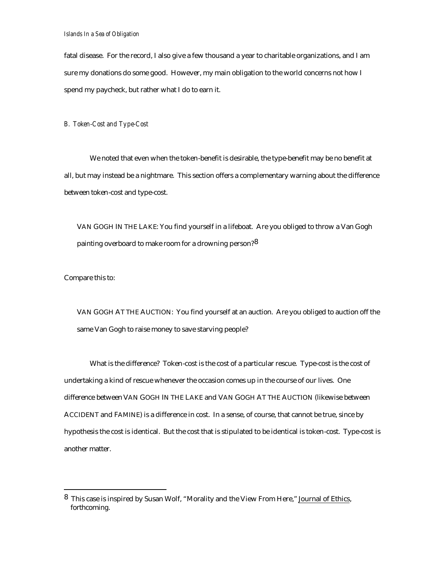fatal disease. For the record, I also give a few thousand a year to charitable organizations, and I am sure my donations do some good. However, my main obligation to the world concerns not how I spend my paycheck, but rather what I do to earn it.

*B. Token-Cost and Type-Cost*

We noted that even when the token-benefit is desirable, the type-benefit may be no benefit at all, but may instead be a nightmare. This section offers a complementary warning about the difference between token-cost and type-cost.

VAN GOGH IN THE LAKE: You find yourself in a lifeboat. Are you obliged to throw a Van Gogh painting overboard to make room for a drowning person?<sup>8</sup>

Compare this to:

l

VAN GOGH AT THE AUCTION: You find yourself at an auction. Are you obliged to auction off the same Van Gogh to raise money to save starving people?

What is the difference? Token-cost is the cost of a particular rescue. Type-cost is the cost of undertaking a kind of rescue whenever the occasion comes up in the course of our lives. One difference between VAN GOGH IN THE LAKE and VAN GOGH AT THE AUCTION (likewise between ACCIDENT and FAMINE) is a difference in cost. In a sense, of course, that cannot be true, since by hypothesis the cost is identical. But the cost that is stipulated to be identical is token-cost. Type-cost is another matter.

<sup>8</sup> This case is inspired by Susan Wolf, "Morality and the View From Here," Journal of Ethics, forthcoming.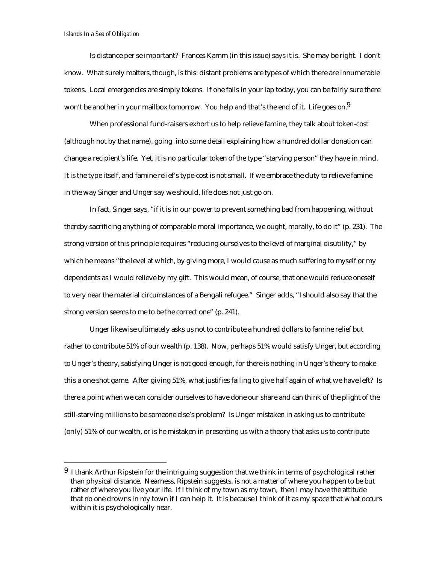Is distance per se important? Frances Kamm (in this issue) says it is. She may be right. I don't know. What surely matters, though, is this: distant problems are types of which there are innumerable tokens. Local emergencies are simply tokens. If one falls in your lap today, you can be fairly sure there won't be another in your mailbox tomorrow. You help and that's the end of it. Life goes on.<sup>9</sup>

When professional fund-raisers exhort us to help relieve famine, they talk about token-cost (although not by that name), going into some detail explaining how a hundred dollar donation can change a recipient's life. Yet, it is no particular token of the type "starving person" they have in mind. It is the type itself, and famine relief's type-cost is not small. If we embrace the duty to relieve famine in the way Singer and Unger say we should, life does not just go on.

In fact, Singer says, "if it is in our power to prevent something bad from happening, without thereby sacrificing anything of comparable moral importance, we ought, morally, to do it" (p. 231). The strong version of this principle requires "reducing ourselves to the level of marginal disutility," by which he means "the level at which, by giving more, I would cause as much suffering to myself or my dependents as I would relieve by my gift. This would mean, of course, that one would reduce oneself to very near the material circumstances of a Bengali refugee." Singer adds, "I should also say that the strong version seems to me to be the correct one" (p. 241).

Unger likewise ultimately asks us not to contribute a hundred dollars to famine relief but rather to contribute 51% of our wealth (p. 138). Now, perhaps 51% would satisfy Unger, but according to Unger's theory, satisfying Unger is not good enough, for there is nothing in Unger's theory to make this a one-shot game. After giving 51%, what justifies failing to give half again of what we have left? Is there a point when we can consider ourselves to have done our share and can think of the plight of the still-starving millions to be someone else's problem? Is Unger mistaken in asking us to contribute (only) 51% of our wealth, or is he mistaken in presenting us with a theory that asks us to contribute

 $9$  I thank Arthur Ripstein for the intriguing suggestion that we think in terms of psychological rather than physical distance. Nearness, Ripstein suggests, is not a matter of where you happen to be but rather of where you live your life. If I think of my town as my town, then I may have the attitude that no one drowns in my town if I can help it. It is because I think of it as my space that what occurs within it is psychologically near.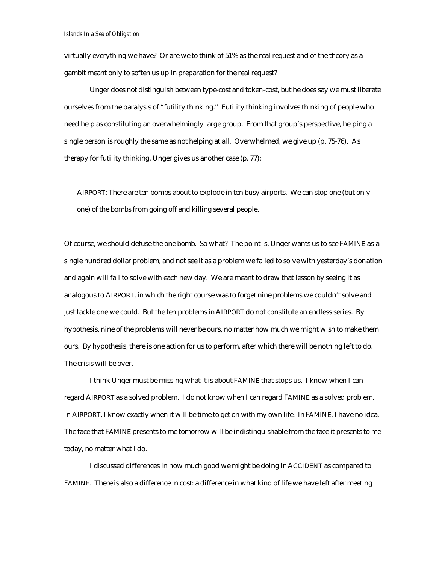virtually everything we have? Or are we to think of 51% as the real request and of the theory as a gambit meant only to soften us up in preparation for the real request?

Unger does not distinguish between type-cost and token-cost, but he does say we must liberate ourselves from the paralysis of "futility thinking." Futility thinking involves thinking of people who need help as constituting an overwhelmingly large group. From that group's perspective, helping a single person is roughly the same as not helping at all. Overwhelmed, we give up (p. 75-76). As therapy for futility thinking, Unger gives us another case (p. 77):

AIRPORT: There are ten bombs about to explode in ten busy airports. We can stop one (but only one) of the bombs from going off and killing several people.

Of course, we should defuse the one bomb. So what? The point is, Unger wants us to see FAMINE as a single hundred dollar problem, and not see it as a problem we failed to solve with yesterday's donation and again will fail to solve with each new day. We are meant to draw that lesson by seeing it as analogous to AIRPORT, in which the right course was to forget nine problems we couldn't solve and just tackle one we could. But the ten problems in AIRPORT do not constitute an endless series. By hypothesis, nine of the problems will never be ours, no matter how much we might wish to make them ours. By hypothesis, there is one action for us to perform, after which there will be nothing left to do. The crisis will be over.

I think Unger must be missing what it is about FAMINE that stops us. I know when I can regard AIRPORT as a solved problem. I do not know when I can regard FAMINE as a solved problem. In AIRPORT, I know exactly when it will be time to get on with my own life. In FAMINE, I have no idea. The face that FAMINE presents to me tomorrow will be indistinguishable from the face it presents to me today, no matter what I do.

I discussed differences in how much good we might be doing in ACCIDENT as compared to FAMINE. There is also a difference in cost: a difference in what kind of life we have left after meeting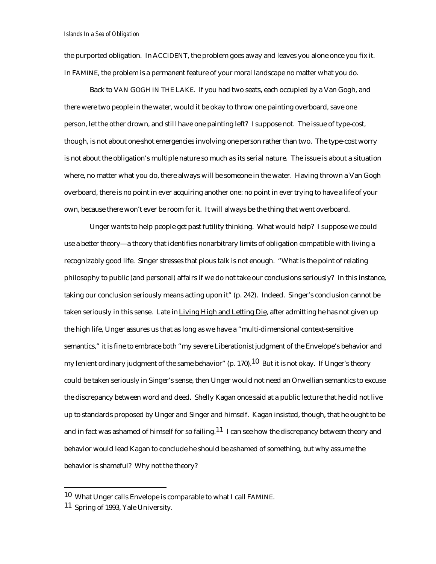the purported obligation. In ACCIDENT, the problem goes away and leaves you alone once you fix it. In FAMINE, the problem is a permanent feature of your moral landscape no matter what you do.

Back to VAN GOGH IN THE LAKE. If you had two seats, each occupied by a Van Gogh, and there were two people in the water, would it be okay to throw one painting overboard, save one person, let the other drown, and still have one painting left? I suppose not. The issue of type-cost, though, is not about one-shot emergencies involving one person rather than two. The type-cost worry is not about the obligation's multiple nature so much as its serial nature. The issue is about a situation where, no matter what you do, there always will be someone in the water. Having thrown a Van Gogh overboard, there is no point in ever acquiring another one: no point in ever trying to have a life of your own, because there won't ever be room for it. It will always be the thing that went overboard.

Unger wants to help people get past futility thinking. What would help? I suppose we could use a better theory—a theory that identifies nonarbitrary limits of obligation compatible with living a recognizably good life. Singer stresses that pious talk is not enough. "What is the point of relating philosophy to public (and personal) affairs if we do not take our conclusions seriously? In this instance, taking our conclusion seriously means acting upon it" (p. 242). Indeed. Singer's conclusion cannot be taken seriously in this sense. Late in Living High and Letting Die, after admitting he has not given up the high life, Unger assures us that as long as we have a "multi-dimensional context-sensitive semantics," it is fine to embrace both "my severe Liberationist judgment of the Envelope's behavior and my lenient ordinary judgment of the same behavior" (p. 170).<sup>10</sup> But it is not okay. If Unger's theory could be taken seriously in Singer's sense, then Unger would not need an Orwellian semantics to excuse the discrepancy between word and deed. Shelly Kagan once said at a public lecture that he did not live up to standards proposed by Unger and Singer and himself. Kagan insisted, though, that he ought to be and in fact was ashamed of himself for so failing.<sup>11</sup> I can see how the discrepancy between theory and behavior would lead Kagan to conclude he should be ashamed of something, but why assume the behavior is shameful? Why not the theory?

l

<sup>10</sup> What Unger calls Envelope is comparable to what I call FAMINE.

<sup>11</sup> Spring of 1993, Yale University.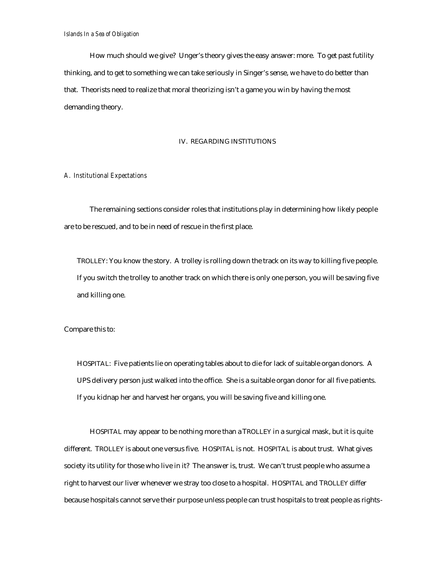How much should we give? Unger's theory gives the easy answer: more. To get past futility thinking, and to get to something we can take seriously in Singer's sense, we have to do better than that. Theorists need to realize that moral theorizing isn't a game you win by having the most demanding theory.

# IV. REGARDING INSTITUTIONS

#### *A. Institutional Expectations*

The remaining sections consider roles that institutions play in determining how likely people are to be rescued, and to be in need of rescue in the first place.

TROLLEY: You know the story. A trolley is rolling down the track on its way to killing five people. If you switch the trolley to another track on which there is only one person, you will be saving five and killing one.

Compare this to:

HOSPITAL: Five patients lie on operating tables about to die for lack of suitable organ donors. A UPS delivery person just walked into the office. She is a suitable organ donor for all five patients. If you kidnap her and harvest her organs, you will be saving five and killing one.

HOSPITAL may appear to be nothing more than a TROLLEY in a surgical mask, but it is quite different. TROLLEY is about one versus five. HOSPITAL is not. HOSPITAL is about trust. What gives society its utility for those who live in it? The answer is, trust. We can't trust people who assume a right to harvest our liver whenever we stray too close to a hospital. HOSPITAL and TROLLEY differ because hospitals cannot serve their purpose unless people can trust hospitals to treat people as rights-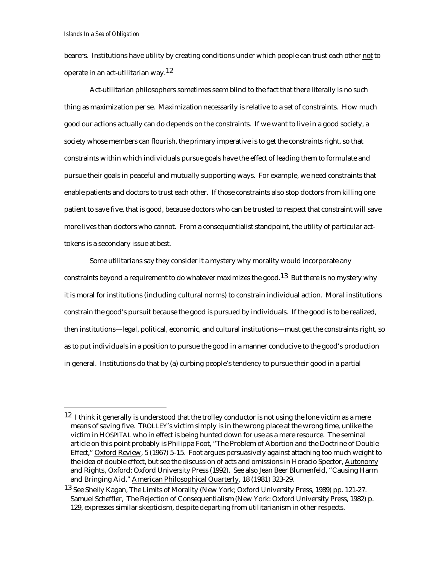bearers. Institutions have utility by creating conditions under which people can trust each other not to operate in an act-utilitarian way.<sup>12</sup>

Act-utilitarian philosophers sometimes seem blind to the fact that there literally is no such thing as maximization per se. Maximization necessarily is relative to a set of constraints. How much good our actions actually can do depends on the constraints. If we want to live in a good society, a society whose members can flourish, the primary imperative is to get the constraints right, so that constraints within which individuals pursue goals have the effect of leading them to formulate and pursue their goals in peaceful and mutually supporting ways. For example, we need constraints that enable patients and doctors to trust each other. If those constraints also stop doctors from killing one patient to save five, that is good, because doctors who can be trusted to respect that constraint will save more lives than doctors who cannot. From a consequentialist standpoint, the utility of particular acttokens is a secondary issue at best.

Some utilitarians say they consider it a mystery why morality would incorporate any constraints beyond a requirement to do whatever maximizes the good.<sup>13</sup> But there is no mystery why it is moral for institutions (including cultural norms) to constrain individual action. Moral institutions constrain the good's pursuit because the good is pursued by individuals. If the good is to be realized, then institutions—legal, political, economic, and cultural institutions—must get the constraints right, so as to put individuals in a position to pursue the good in a manner conducive to the good's production in general. Institutions do that by (a) curbing people's tendency to pursue their good in a partial

 $12$  I think it generally is understood that the trolley conductor is not using the lone victim as a mere means of saving five. TROLLEY's victim simply is in the wrong place at the wrong time, unlike the victim in HOSPITAL who in effect is being hunted down for use as a mere resource. The seminal article on this point probably is Philippa Foot, "The Problem of Abortion and the Doctrine of Double Effect," Oxford Review, 5 (1967) 5-15. Foot argues persuasively against attaching too much weight to the idea of double effect, but see the discussion of acts and omissions in Horacio Spector, Autonomy and Rights, Oxford: Oxford University Press (1992). See also Jean Beer Blumenfeld, "Causing Harm and Bringing Aid," American Philosophical Quarterly, 18 (1981) 323-29.

<sup>13</sup> See Shelly Kagan, The Limits of Morality (New York; Oxford University Press, 1989) pp. 121-27. Samuel Scheffler, The Rejection of Consequentialism (New York: Oxford University Press, 1982) p. 129, expresses similar skepticism, despite departing from utilitarianism in other respects.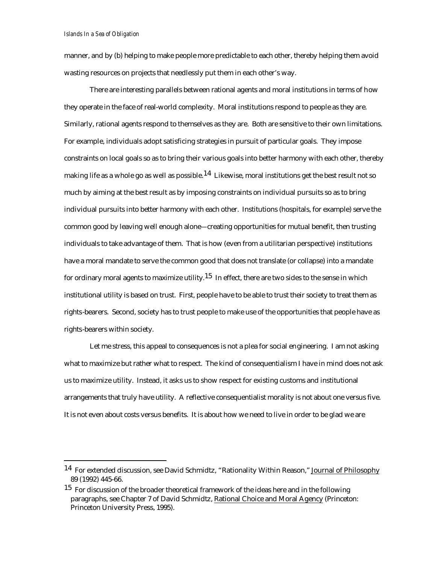manner, and by (b) helping to make people more predictable to each other, thereby helping them avoid wasting resources on projects that needlessly put them in each other's way.

There are interesting parallels between rational agents and moral institutions in terms of how they operate in the face of real-world complexity. Moral institutions respond to people as they are. Similarly, rational agents respond to themselves as they are. Both are sensitive to their own limitations. For example, individuals adopt satisficing strategies in pursuit of particular goals. They impose constraints on local goals so as to bring their various goals into better harmony with each other, thereby making life as a whole go as well as possible.<sup>14</sup> Likewise, moral institutions get the best result not so much by aiming at the best result as by imposing constraints on individual pursuits so as to bring individual pursuits into better harmony with each other. Institutions (hospitals, for example) serve the common good by leaving well enough alone—creating opportunities for mutual benefit, then trusting individuals to take advantage of them. That is how (even from a utilitarian perspective) institutions have a moral mandate to serve the common good that does not translate (or collapse) into a mandate for ordinary moral agents to maximize utility.<sup>15</sup> In effect, there are two sides to the sense in which institutional utility is based on trust. First, people have to be able to trust their society to treat them as rights-bearers. Second, society has to trust people to make use of the opportunities that people have as rights-bearers within society.

Let me stress, this appeal to consequences is not a plea for social engineering. I am not asking what to maximize but rather what to respect. The kind of consequentialism I have in mind does not ask us to maximize utility. Instead, it asks us to show respect for existing customs and institutional arrangements that truly have utility. A reflective consequentialist morality is not about one versus five. It is not even about costs versus benefits. It is about how we need to live in order to be glad we are

<sup>14</sup> For extended discussion, see David Schmidtz, "Rationality Within Reason," Journal of Philosophy 89 (1992) 445-66.

<sup>&</sup>lt;sup>15</sup> For discussion of the broader theoretical framework of the ideas here and in the following paragraphs, see Chapter 7 of David Schmidtz, Rational Choice and Moral Agency (Princeton: Princeton University Press, 1995).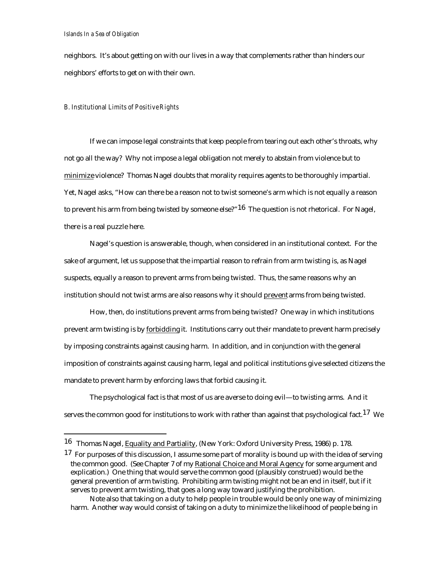neighbors. It's about getting on with our lives in a way that complements rather than hinders our neighbors' efforts to get on with their own.

#### *B. Institutional Limits of Positive Rights*

If we can impose legal constraints that keep people from tearing out each other's throats, why not go all the way? Why not impose a legal obligation not merely to abstain from violence but to minimize violence? Thomas Nagel doubts that morality requires agents to be thoroughly impartial. Yet, Nagel asks, "How can there be a reason not to twist someone's arm which is not equally a reason to prevent his arm from being twisted by someone else?"<sup>16</sup> The question is not rhetorical. For Nagel, there is a real puzzle here.

 Nagel's question is answerable, though, when considered in an institutional context. For the sake of argument, let us suppose that the impartial reason to refrain from arm twisting is, as Nagel suspects, equally a reason to prevent arms from being twisted. Thus, the same reasons why an institution should not twist arms are also reasons why it should prevent arms from being twisted.

How, then, do institutions prevent arms from being twisted? One way in which institutions prevent arm twisting is by forbidding it. Institutions carry out their mandate to prevent harm precisely by imposing constraints against causing harm. In addition, and in conjunction with the general imposition of constraints against causing harm, legal and political institutions give selected citizens the mandate to prevent harm by enforcing laws that forbid causing it.

The psychological fact is that most of us are averse to doing evil—to twisting arms. And it serves the common good for institutions to work with rather than against that psychological fact.<sup>17</sup> We

<sup>16</sup> Thomas Nagel, Equality and Partiality, (New York: Oxford University Press, 1986) p. 178.

<sup>&</sup>lt;sup>17</sup> For purposes of this discussion, I assume some part of morality is bound up with the idea of serving the common good. (See Chapter 7 of my Rational Choice and Moral Agency for some argument and explication.) One thing that would serve the common good (plausibly construed) would be the general prevention of arm twisting. Prohibiting arm twisting might not be an end in itself, but if it serves to prevent arm twisting, that goes a long way toward justifying the prohibition.

Note also that taking on a duty to help people in trouble would be only one way of minimizing harm. Another way would consist of taking on a duty to minimize the likelihood of people being in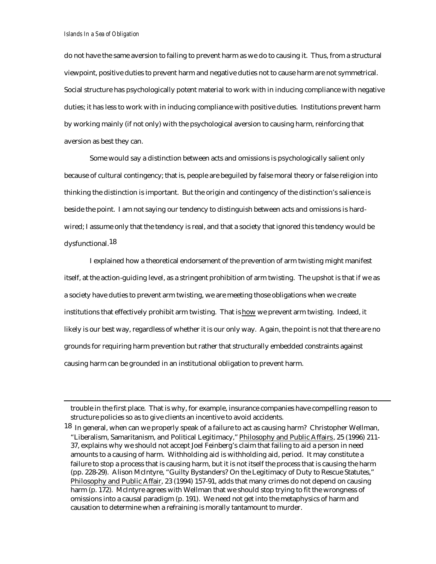do not have the same aversion to failing to prevent harm as we do to causing it. Thus, from a structural viewpoint, positive duties to prevent harm and negative duties not to cause harm are not symmetrical. Social structure has psychologically potent material to work with in inducing compliance with negative duties; it has less to work with in inducing compliance with positive duties. Institutions prevent harm by working mainly (if not only) with the psychological aversion to causing harm, reinforcing that aversion as best they can.

Some would say a distinction between acts and omissions is psychologically salient only because of cultural contingency; that is, people are beguiled by false moral theory or false religion into thinking the distinction is important. But the origin and contingency of the distinction's salience is beside the point. I am not saying our tendency to distinguish between acts and omissions is hardwired; I assume only that the tendency is real, and that a society that ignored this tendency would be dysfunctional.18

I explained how a theoretical endorsement of the prevention of arm twisting might manifest itself, at the action-guiding level, as a stringent prohibition of arm twisting. The upshot is that if we as a society have duties to prevent arm twisting, we are meeting those obligations when we create institutions that effectively prohibit arm twisting. That is how we prevent arm twisting. Indeed, it likely is our best way, regardless of whether it is our only way. Again, the point is not that there are no grounds for requiring harm prevention but rather that structurally embedded constraints against causing harm can be grounded in an institutional obligation to prevent harm.

trouble in the first place. That is why, for example, insurance companies have compelling reason to structure policies so as to give clients an incentive to avoid accidents.

<sup>18</sup> In general, when can we properly speak of a failure to act as causing harm? Christopher Wellman, "Liberalism, Samaritanism, and Political Legitimacy," Philosophy and Public Affairs, 25 (1996) 211- 37, explains why we should not accept Joel Feinberg's claim that failing to aid a person in need amounts to a causing of harm. Withholding aid is withholding aid, period. It may constitute a failure to stop a process that is causing harm, but it is not itself the process that is causing the harm (pp. 228-29). Alison McIntyre, "Guilty Bystanders? On the Legitimacy of Duty to Rescue Statutes," Philosophy and Public Affair, 23 (1994) 157-91, adds that many crimes do not depend on causing harm (p. 172). McIntyre agrees with Wellman that we should stop trying to fit the wrongness of omissions into a causal paradigm (p. 191). We need not get into the metaphysics of harm and causation to determine when a refraining is morally tantamount to murder.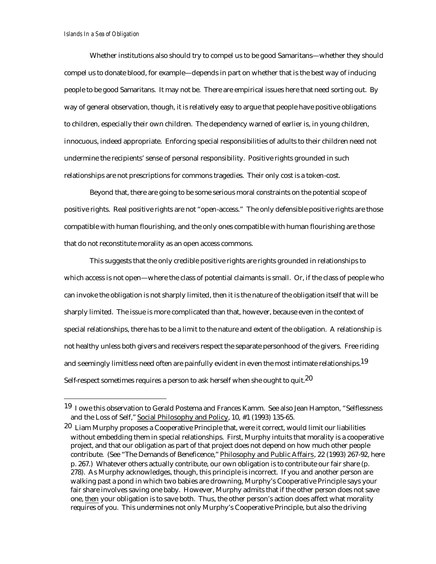Whether institutions also should try to compel us to be good Samaritans—whether they should compel us to donate blood, for example—depends in part on whether that is the best way of inducing people to be good Samaritans. It may not be. There are empirical issues here that need sorting out. By way of general observation, though, it is relatively easy to argue that people have positive obligations to children, especially their own children. The dependency warned of earlier is, in young children, innocuous, indeed appropriate. Enforcing special responsibilities of adults to their children need not undermine the recipients' sense of personal responsibility. Positive rights grounded in such relationships are not prescriptions for commons tragedies. Their only cost is a token-cost.

Beyond that, there are going to be some serious moral constraints on the potential scope of positive rights. Real positive rights are not "open-access." The only defensible positive rights are those compatible with human flourishing, and the only ones compatible with human flourishing are those that do not reconstitute morality as an open access commons.

This suggests that the only credible positive rights are rights grounded in relationships to which access is not open—where the class of potential claimants is small. Or, if the class of people who can invoke the obligation is not sharply limited, then it is the nature of the obligation itself that will be sharply limited. The issue is more complicated than that, however, because even in the context of special relationships, there has to be a limit to the nature and extent of the obligation. A relationship is not healthy unless both givers and receivers respect the separate personhood of the givers. Free riding and seemingly limitless need often are painfully evident in even the most intimate relationships.<sup>19</sup> Self-respect sometimes requires a person to ask herself when she ought to quit.<sup>20</sup>

<sup>19</sup> I owe this observation to Gerald Postema and Frances Kamm. See also Jean Hampton, "Selflessness and the Loss of Self," Social Philosophy and Policy, 10, #1 (1993) 135-65.

 $20$  Liam Murphy proposes a Cooperative Principle that, were it correct, would limit our liabilities without embedding them in special relationships. First, Murphy intuits that morality is a cooperative project, and that our obligation as part of that project does not depend on how much other people contribute. (See "The Demands of Beneficence," Philosophy and Public Affairs, 22 (1993) 267-92, here p. 267.) Whatever others actually contribute, our own obligation is to contribute our fair share (p. 278). As Murphy acknowledges, though, this principle is incorrect. If you and another person are walking past a pond in which two babies are drowning, Murphy's Cooperative Principle says your fair share involves saving one baby. However, Murphy admits that if the other person does not save one, then your obligation is to save both. Thus, the other person's action does affect what morality requires of you. This undermines not only Murphy's Cooperative Principle, but also the driving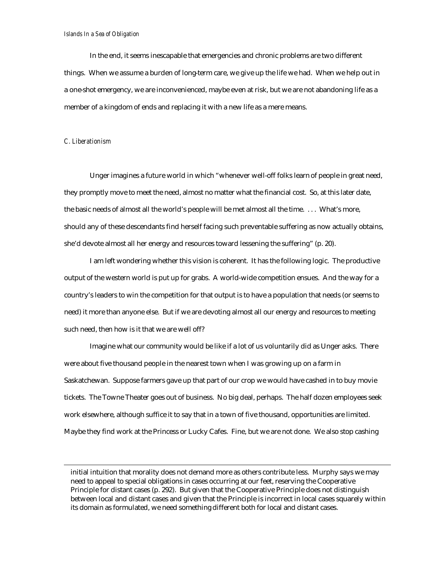In the end, it seems inescapable that emergencies and chronic problems are two different things. When we assume a burden of long-term care, we give up the life we had. When we help out in a one-shot emergency, we are inconvenienced, maybe even at risk, but we are not abandoning life as a member of a kingdom of ends and replacing it with a new life as a mere means.

#### *C. Liberationism*

l

Unger imagines a future world in which "whenever well-off folks learn of people in great need, they promptly move to meet the need, almost no matter what the financial cost. So, at this later date, the basic needs of almost all the world's people will be met almost all the time. . . . What's more, should any of these descendants find herself facing such preventable suffering as now actually obtains, she'd devote almost all her energy and resources toward lessening the suffering" (p. 20).

I am left wondering whether this vision is coherent. It has the following logic. The productive output of the western world is put up for grabs. A world-wide competition ensues. And the way for a country's leaders to win the competition for that output is to have a population that needs (or seems to need) it more than anyone else. But if we are devoting almost all our energy and resources to meeting such need, then how is it that we are well off?

Imagine what our community would be like if a lot of us voluntarily did as Unger asks. There were about five thousand people in the nearest town when I was growing up on a farm in Saskatchewan. Suppose farmers gave up that part of our crop we would have cashed in to buy movie tickets. The Towne Theater goes out of business. No big deal, perhaps. The half dozen employees seek work elsewhere, although suffice it to say that in a town of five thousand, opportunities are limited. Maybe they find work at the Princess or Lucky Cafes. Fine, but we are not done. We also stop cashing

initial intuition that morality does not demand more as others contribute less. Murphy says we may need to appeal to special obligations in cases occurring at our feet, reserving the Cooperative Principle for distant cases (p. 292). But given that the Cooperative Principle does not distinguish between local and distant cases and given that the Principle is incorrect in local cases squarely within its domain as formulated, we need something different both for local and distant cases.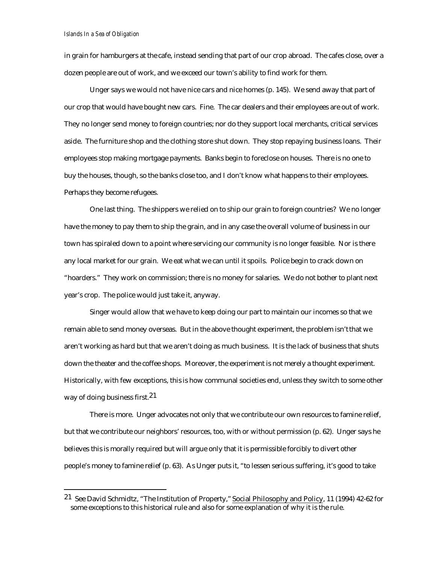in grain for hamburgers at the cafe, instead sending that part of our crop abroad. The cafes close, over a dozen people are out of work, and we exceed our town's ability to find work for them.

Unger says we would not have nice cars and nice homes (p. 145). We send away that part of our crop that would have bought new cars. Fine. The car dealers and their employees are out of work. They no longer send money to foreign countries; nor do they support local merchants, critical services aside. The furniture shop and the clothing store shut down. They stop repaying business loans. Their employees stop making mortgage payments. Banks begin to foreclose on houses. There is no one to buy the houses, though, so the banks close too, and I don't know what happens to their employees. Perhaps they become refugees.

One last thing. The shippers we relied on to ship our grain to foreign countries? We no longer have the money to pay them to ship the grain, and in any case the overall volume of business in our town has spiraled down to a point where servicing our community is no longer feasible. Nor is there any local market for our grain. We eat what we can until it spoils. Police begin to crack down on "hoarders." They work on commission; there is no money for salaries. We do not bother to plant next year's crop. The police would just take it, anyway.

Singer would allow that we have to keep doing our part to maintain our incomes so that we remain able to send money overseas. But in the above thought experiment, the problem isn't that we aren't working as hard but that we aren't doing as much business. It is the lack of business that shuts down the theater and the coffee shops. Moreover, the experiment is not merely a thought experiment. Historically, with few exceptions, this is how communal societies end, unless they switch to some other way of doing business first.  $21$ 

There is more. Unger advocates not only that we contribute our own resources to famine relief, but that we contribute our neighbors' resources, too, with or without permission (p. 62). Unger says he believes this is morally required but will argue only that it is permissible forcibly to divert other people's money to famine relief (p. 63). As Unger puts it, "to lessen serious suffering, it's good to take

<sup>21</sup> See David Schmidtz, "The Institution of Property," Social Philosophy and Policy, 11 (1994) 42-62 for some exceptions to this historical rule and also for some explanation of why it is the rule.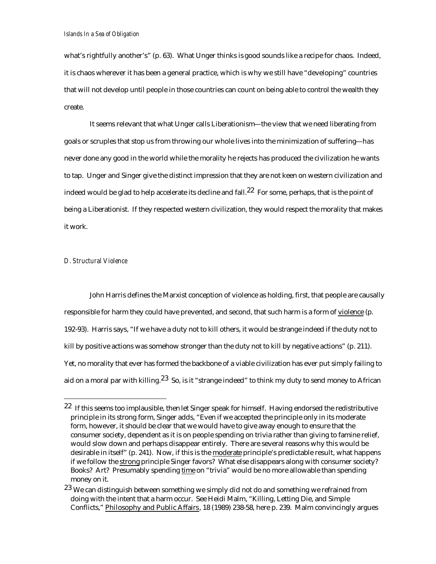what's rightfully another's" (p. 63). What Unger thinks is good sounds like a recipe for chaos. Indeed, it is chaos wherever it has been a general practice, which is why we still have "developing" countries that will not develop until people in those countries can count on being able to control the wealth they create.

It seems relevant that what Unger calls Liberationism—the view that we need liberating from goals or scruples that stop us from throwing our whole lives into the minimization of suffering—has never done any good in the world while the morality he rejects has produced the civilization he wants to tap. Unger and Singer give the distinct impression that they are not keen on western civilization and indeed would be glad to help accelerate its decline and fall.  $22$  For some, perhaps, that is the point of being a Liberationist. If they respected western civilization, they would respect the morality that makes it work.

## *D. Structural Violence*

l

John Harris defines the Marxist conception of violence as holding, first, that people are causally responsible for harm they could have prevented, and second, that such harm is a form of violence (p. 192-93). Harris says, "If we have a duty not to kill others, it would be strange indeed if the duty not to kill by positive actions was somehow stronger than the duty not to kill by negative actions" (p. 211). Yet, no morality that ever has formed the backbone of a viable civilization has ever put simply failing to aid on a moral par with killing.<sup>23</sup> So, is it "strange indeed" to think my duty to send money to African

<sup>&</sup>lt;sup>22</sup> If this seems too implausible, then let Singer speak for himself. Having endorsed the redistributive principle in its strong form, Singer adds, "Even if we accepted the principle only in its moderate form, however, it should be clear that we would have to give away enough to ensure that the consumer society, dependent as it is on people spending on trivia rather than giving to famine relief, would slow down and perhaps disappear entirely. There are several reasons why this would be desirable in itself" (p. 241). Now, if this is the moderate principle's predictable result, what happens if we follow the strong principle Singer favors? What else disappears along with consumer society? Books? Art? Presumably spending time on "trivia" would be no more allowable than spending money on it.

<sup>&</sup>lt;sup>23</sup> We can distinguish between something we simply did not do and something we refrained from doing with the intent that a harm occur. See Heidi Malm, "Killing, Letting Die, and Simple Conflicts," Philosophy and Public Affairs, 18 (1989) 238-58, here p. 239. Malm convincingly argues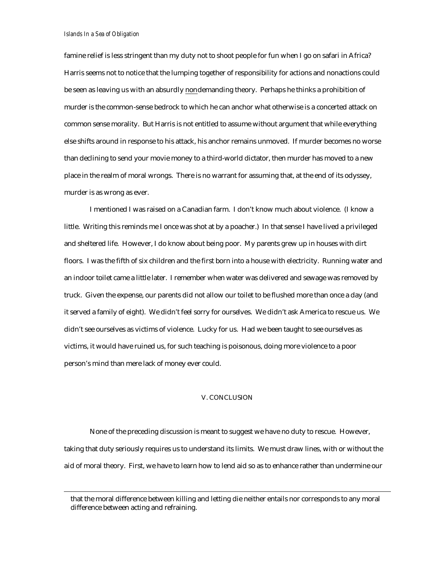famine relief is less stringent than my duty not to shoot people for fun when I go on safari in Africa? Harris seems not to notice that the lumping together of responsibility for actions and nonactions could be seen as leaving us with an absurdly nondemanding theory. Perhaps he thinks a prohibition of murder is the common-sense bedrock to which he can anchor what otherwise is a concerted attack on common sense morality. But Harris is not entitled to assume without argument that while everything else shifts around in response to his attack, his anchor remains unmoved. If murder becomes no worse than declining to send your movie money to a third-world dictator, then murder has moved to a new place in the realm of moral wrongs. There is no warrant for assuming that, at the end of its odyssey, murder is as wrong as ever.

I mentioned I was raised on a Canadian farm. I don't know much about violence. (I know a little. Writing this reminds me I once was shot at by a poacher.) In that sense I have lived a privileged and sheltered life. However, I do know about being poor. My parents grew up in houses with dirt floors. I was the fifth of six children and the first born into a house with electricity. Running water and an indoor toilet came a little later. I remember when water was delivered and sewage was removed by truck. Given the expense, our parents did not allow our toilet to be flushed more than once a day (and it served a family of eight). We didn't feel sorry for ourselves. We didn't ask America to rescue us. We didn't see ourselves as victims of violence. Lucky for us. Had we been taught to see ourselves as victims, it would have ruined us, for such teaching is poisonous, doing more violence to a poor person's mind than mere lack of money ever could.

#### V. CONCLUSION

None of the preceding discussion is meant to suggest we have no duty to rescue. However, taking that duty seriously requires us to understand its limits. We must draw lines, with or without the aid of moral theory. First, we have to learn how to lend aid so as to enhance rather than undermine our

that the moral difference between killing and letting die neither entails nor corresponds to any moral difference between acting and refraining.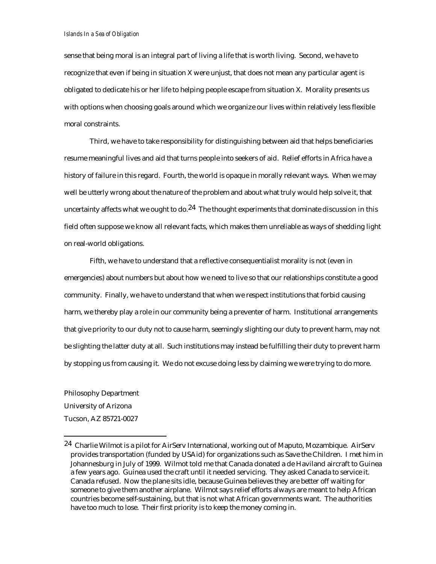sense that being moral is an integral part of living a life that is worth living. Second, we have to recognize that even if being in situation X were unjust, that does not mean any particular agent is obligated to dedicate his or her life to helping people escape from situation X. Morality presents us with options when choosing goals around which we organize our lives within relatively less flexible moral constraints.

Third, we have to take responsibility for distinguishing between aid that helps beneficiaries resume meaningful lives and aid that turns people into seekers of aid. Relief efforts in Africa have a history of failure in this regard. Fourth, the world is opaque in morally relevant ways. When we may well be utterly wrong about the nature of the problem and about what truly would help solve it, that uncertainty affects what we ought to do.<sup>24</sup> The thought experiments that dominate discussion in this field often suppose we know all relevant facts, which makes them unreliable as ways of shedding light on real-world obligations.

Fifth, we have to understand that a reflective consequentialist morality is not (even in emergencies) about numbers but about how we need to live so that our relationships constitute a good community. Finally, we have to understand that when we respect institutions that forbid causing harm, we thereby play a role in our community being a preventer of harm. Institutional arrangements that give priority to our duty not to cause harm, seemingly slighting our duty to prevent harm, may not be slighting the latter duty at all. Such institutions may instead be fulfilling their duty to prevent harm by stopping us from causing it. We do not excuse doing less by claiming we were trying to do more.

Philosophy Department University of Arizona Tucson, AZ 85721-0027

l

<sup>24</sup> Charlie Wilmot is a pilot for AirServ International, working out of Maputo, Mozambique. AirServ provides transportation (funded by USAid) for organizations such as Save the Children. I met him in Johannesburg in July of 1999. Wilmot told me that Canada donated a de Haviland aircraft to Guinea a few years ago. Guinea used the craft until it needed servicing. They asked Canada to service it. Canada refused. Now the plane sits idle, because Guinea believes they are better off waiting for someone to give them another airplane. Wilmot says relief efforts always are meant to help African countries become self-sustaining, but that is not what African governments want. The authorities have too much to lose. Their first priority is to keep the money coming in.